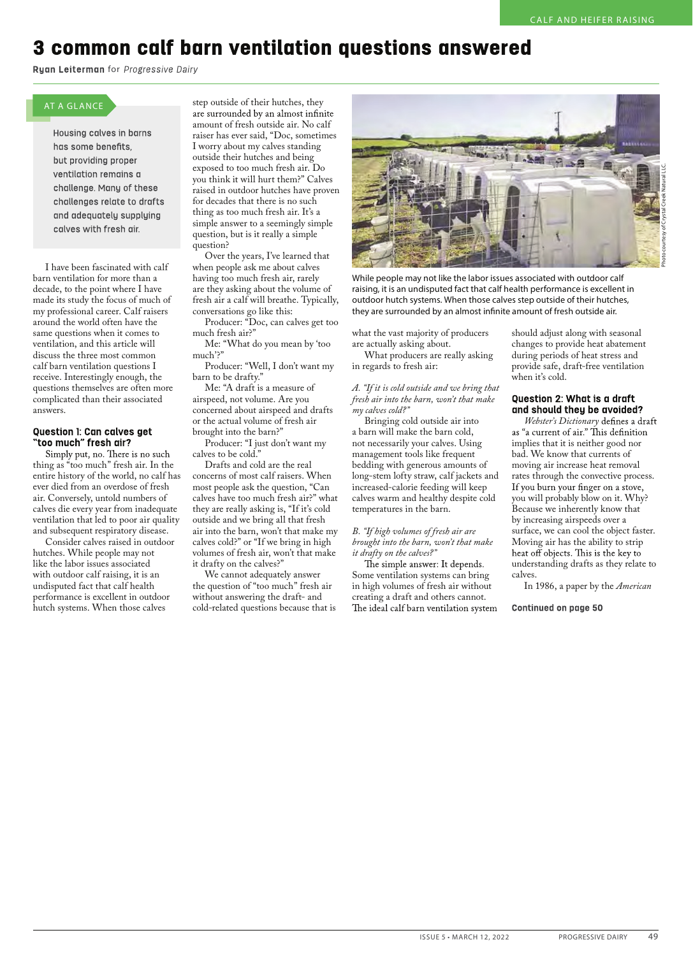# 3 common calf barn ventilation questions answered

Ryan Leiterman for Progressive Dairy

## AT A GLANCE

Housing calves in barns has some benefits, but providing proper ventilation remains a challenge. Many of these challenges relate to drafts and adequately supplying calves with fresh air.

I have been fascinated with calf barn ventilation for more than a decade, to the point where I have made its study the focus of much of my professional career. Calf raisers around the world often have the same questions when it comes to ventilation, and this article will discuss the three most common calf barn ventilation questions I receive. Interestingly enough, the questions themselves are often more complicated than their associated answers.

### **Question 1: Can calves get** "too much" fresh air?

Simply put, no. There is no such thing as "too much" fresh air. In the entire history of the world, no calf has ever died from an overdose of fresh air. Conversely, untold numbers of calves die every year from inadequate ventilation that led to poor air quality and subsequent respiratory disease.

Consider calves raised in outdoor hutches. While people may not like the labor issues associated with outdoor calf raising, it is an undisputed fact that calf health performance is excellent in outdoor hutch systems. When those calves

step outside of their hutches, they<br>are surrounded by an almost infinite amount of fresh outside air. No calf raiser has ever said, "Doc, sometimes I worry about my calves standing outside their hutches and being exposed to too much fresh air. Do you think it will hurt them?" Calves raised in outdoor hutches have proven for decades that there is no such thing as too much fresh air. It's a simple answer to a seemingly simple question, but is it really a simple question?

Over the years, I've learned that when people ask me about calves having too much fresh air, rarely are they asking about the volume of fresh air a calf will breathe. Typically, conversations go like this:

Producer: "Doc, can calves get too much fresh air?" Me: "What do you mean by 'too

much'?"

Producer: "Well, I don't want my barn to be drafty."

Me: "A draft is a measure of airspeed, not volume. Are you concerned about airspeed and drafts or the actual volume of fresh air brought into the barn?"

Producer: "I just don't want my calves to be cold."

Drafts and cold are the real concerns of most calf raisers. When most people ask the question, "Can calves have too much fresh air?" what they are really asking is, "If it's cold outside and we bring all that fresh air into the barn, won't that make my calves cold?" or "If we bring in high volumes of fresh air, won't that make it drafty on the calves?"

We cannot adequately answer the question of "too much" fresh air without answering the draft- and cold-related questions because that is



While people may not like the labor issues associated with outdoor calf raising, it is an undisputed fact that calf health performance is excellent in outdoor hutch systems. When those calves step outside of their hutches, they are surrounded by an almost infinite amount of fresh outside air.

what the vast majority of producers are actually asking about.

What producers are really asking in regards to fresh air:

*A. "If it is cold outside and we bring that fresh air into the barn, won't that make my calves cold?"*

Bringing cold outside air into a barn will make the barn cold, not necessarily your calves. Using management tools like frequent bedding with generous amounts of long-stem lofty straw, calf jackets and increased-calorie feeding will keep calves warm and healthy despite cold temperatures in the barn.

#### *B. "If high volumes of fresh air are brought into the barn, won't that make it drafty on the calves?"*

Some ventilation systems can bring in high volumes of fresh air without creating a draft and others cannot.

should adjust along with seasonal changes to provide heat abatement during periods of heat stress and provide safe, draft-free ventilation when it's cold.

## Question 2: What is a draft and should they be avoided?

*Webster's Dictionary* implies that it is neither good nor bad. We know that currents of moving air increase heat removal rates through the convective process.<br>If you burn your finger on a stove, you will probably blow on it. Why? Because we inherently know that by increasing airspeeds over a surface, we can cool the object faster. Moving air has the ability to strip<br>heat off objects. This is the key to understanding drafts as they relate to calves.

In 1986, a paper by the *American* 

**Continued on page 50**